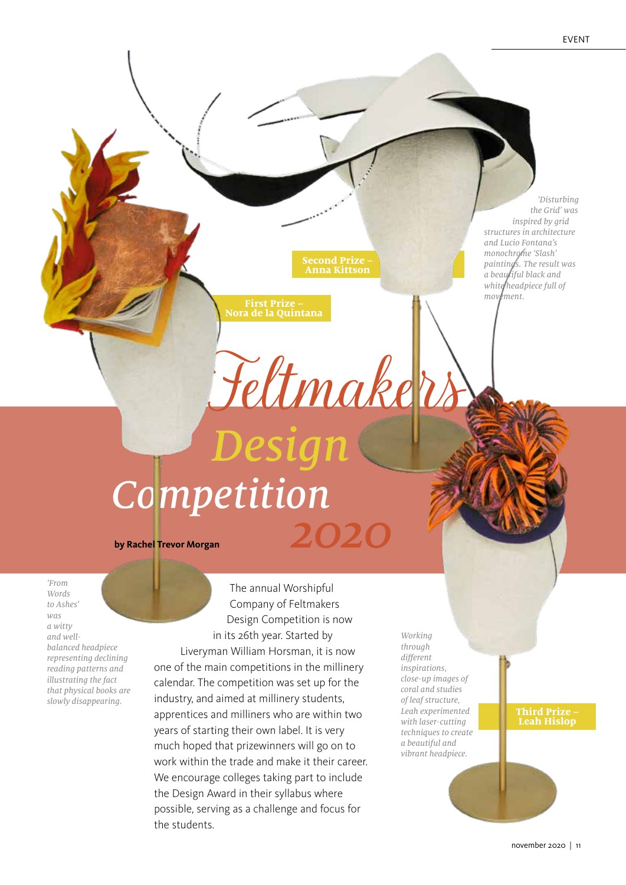*'Disturbing the Grid' was inspired by grid structures in architecture and Lucio Fontana's monochrome 'Slash' paintings. The result was a beautiful black and white headpiece full of movement.*

# *Competition* **by Rachel Trevor Morgan** *2020*

Feltmakers

**Anna Kittson** 

*Design*

**First Prize – Nora de la Quintana**

*'From Words to Ashes' was a witty and wellbalanced headpiece representing declining reading patterns and illustrating the fact that physical books are slowly disappearing.*

The annual Worshipful Company of Feltmakers Design Competition is now in its 26th year. Started by Liveryman William Horsman, it is now one of the main competitions in the millinery calendar. The competition was set up for the industry, and aimed at millinery students, apprentices and milliners who are within two years of starting their own label. It is very much hoped that prizewinners will go on to work within the trade and make it their career. We encourage colleges taking part to include the Design Award in their syllabus where possible, serving as a challenge and focus for the students.

*Working through different inspirations, close-up images of coral and studies of leaf structure, Leah experimented with laser-cutting techniques to create a beautiful and vibrant headpiece.*

### **Third Prize – Leah Hislop**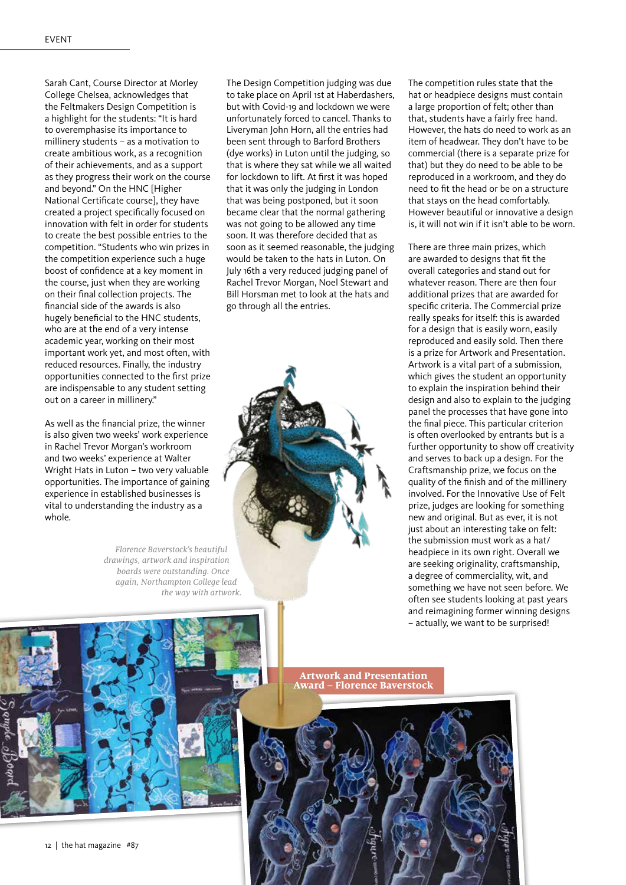Sarah Cant, Course Director at Morley College Chelsea, acknowledges that the Feltmakers Design Competition is a highlight for the students: "It is hard to overemphasise its importance to millinery students – as a motivation to create ambitious work, as a recognition of their achievements, and as a support as they progress their work on the course and beyond." On the HNC [Higher National Certificate course], they have created a project specifically focused on innovation with felt in order for students to create the best possible entries to the competition. "Students who win prizes in the competition experience such a huge boost of confidence at a key moment in the course, just when they are working on their final collection projects. The financial side of the awards is also hugely beneficial to the HNC students, who are at the end of a very intense academic year, working on their most important work yet, and most often, with reduced resources. Finally, the industry opportunities connected to the first prize are indispensable to any student setting out on a career in millinery."

As well as the financial prize, the winner is also given two weeks' work experience in Rachel Trevor Morgan's workroom and two weeks' experience at Walter Wright Hats in Luton – two very valuable opportunities. The importance of gaining experience in established businesses is vital to understanding the industry as a whole.

> *Florence Baverstock's beautiful drawings, artwork and inspiration boards were outstanding. Once again, Northampton College lead the way with artwork.*

The Design Competition judging was due to take place on April 1st at Haberdashers, but with Covid-19 and lockdown we were unfortunately forced to cancel. Thanks to Liveryman John Horn, all the entries had been sent through to Barford Brothers (dye works) in Luton until the judging, so that is where they sat while we all waited for lockdown to lift. At first it was hoped that it was only the judging in London that was being postponed, but it soon became clear that the normal gathering was not going to be allowed any time soon. It was therefore decided that as soon as it seemed reasonable, the judging would be taken to the hats in Luton. On July 16th a very reduced judging panel of Rachel Trevor Morgan, Noel Stewart and Bill Horsman met to look at the hats and go through all the entries.



The competition rules state that the hat or headpiece designs must contain a large proportion of felt; other than that, students have a fairly free hand. However, the hats do need to work as an item of headwear. They don't have to be commercial (there is a separate prize for that) but they do need to be able to be reproduced in a workroom, and they do need to fit the head or be on a structure that stays on the head comfortably. However beautiful or innovative a design is, it will not win if it isn't able to be worn.

There are three main prizes, which are awarded to designs that fit the overall categories and stand out for whatever reason. There are then four additional prizes that are awarded for specific criteria. The Commercial prize really speaks for itself: this is awarded for a design that is easily worn, easily reproduced and easily sold. Then there is a prize for Artwork and Presentation. Artwork is a vital part of a submission, which gives the student an opportunity to explain the inspiration behind their design and also to explain to the judging panel the processes that have gone into the final piece. This particular criterion is often overlooked by entrants but is a further opportunity to show off creativity and serves to back up a design. For the Craftsmanship prize, we focus on the quality of the finish and of the millinery involved. For the Innovative Use of Felt prize, judges are looking for something new and original. But as ever, it is not just about an interesting take on felt: the submission must work as a hat/ headpiece in its own right. Overall we are seeking originality, craftsmanship, a degree of commerciality, wit, and something we have not seen before. We often see students looking at past years and reimagining former winning designs – actually, we want to be surprised!



12 | the hat magazine #87

**Artwork and Presentation Award – Florence Baverstock**